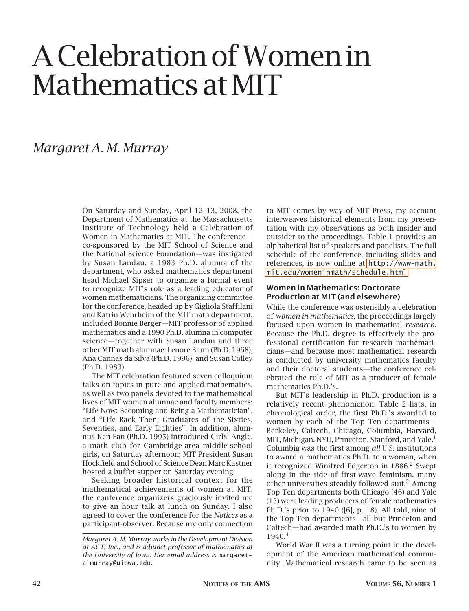# A Celebration of Women in Mathematics at MIT

### *Margaret A. M. Murray*

On Saturday and Sunday, April 12–13, 2008, the Department of Mathematics at the Massachusetts Institute of Technology held a Celebration of Women in Mathematics at MIT. The conference co-sponsored by the MIT School of Science and the National Science Foundation—was instigated by Susan Landau, a 1983 Ph.D. alumna of the department, who asked mathematics department head Michael Sipser to organize a formal event to recognize MIT's role as a leading educator of women mathematicians. The organizing committee for the conference, headed up by Gigliola Staffilani and Katrin Wehrheim of the MIT math department, included Bonnie Berger—MIT professor of applied mathematics and a 1990 Ph.D. alumna in computer science—together with Susan Landau and three other MIT math alumnae: Lenore Blum (Ph.D. 1968), Ana Cannas da Silva (Ph.D. 1996), and Susan Colley (Ph.D. 1983).

The MIT celebration featured seven colloquium talks on topics in pure and applied mathematics, as well as two panels devoted to the mathematical lives of MIT women alumnae and faculty members: "Life Now: Becoming and Being a Mathematician", and "Life Back Then: Graduates of the Sixties, Seventies, and Early Eighties". In addition, alumnus Ken Fan (Ph.D. 1995) introduced Girls' Angle, a math club for Cambridge-area middle-school girls, on Saturday afternoon; MIT President Susan Hockfield and School of Science Dean Marc Kastner hosted a buffet supper on Saturday evening.

Seeking broader historical context for the mathematical achievements of women at MIT, the conference organizers graciously invited me to give an hour talk at lunch on Sunday. I also agreed to cover the conference for the *Notices* as a participant-observer. Because my only connection

to MIT comes by way of MIT Press, my account interweaves historical elements from my presentation with my observations as both insider and outsider to the proceedings. Table 1 provides an alphabetical list of speakers and panelists. The full schedule of the conference, including slides and references, is now online at [http://www-math.](http://www-math.mit.edu/womeninmath/schedule.html) [mit.edu/womeninmath/schedule.html](http://www-math.mit.edu/womeninmath/schedule.html).

#### Women in Mathematics: Doctorate Production at MIT (and elsewhere)

While the conference was ostensibly a celebration of *women in mathematics*, the proceedings largely focused upon women in mathematical *research*. Because the Ph.D. degree is effectively the professional certification for research mathematicians—and because most mathematical research is conducted by university mathematics faculty and their doctoral students—the conference celebrated the role of MIT as a producer of female mathematics Ph.D.'s.

But MIT's leadership in Ph.D. production is a relatively recent phenomenon. Table 2 lists, in chronological order, the first Ph.D.'s awarded to women by each of the Top Ten departments— Berkeley, Caltech, Chicago, Columbia, Harvard, MIT, Michigan, NYU, Princeton, Stanford, and Yale.<sup>1</sup> Columbia was the first among *all* U.S. institutions to award a mathematics Ph.D. to a woman, when it recognized Winifred Edgerton in 1886.<sup>2</sup> Swept along in the tide of first-wave feminism, many other universities steadily followed suit.<sup>3</sup> Among Top Ten departments both Chicago (46) and Yale (13) were leading producers of female mathematics Ph.D.'s prior to 1940 ([6], p. 18). All told, nine of the Top Ten departments—all but Princeton and Caltech—had awarded math Ph.D.'s to women by 1940.4

World War II was a turning point in the development of the American mathematical community. Mathematical research came to be seen as

*Margaret A. M. Murray works in the Development Division at ACT, Inc., and is adjunct professor of mathematics at the University of Iowa. Her email address is* margareta-murray@uiowa.edu*.*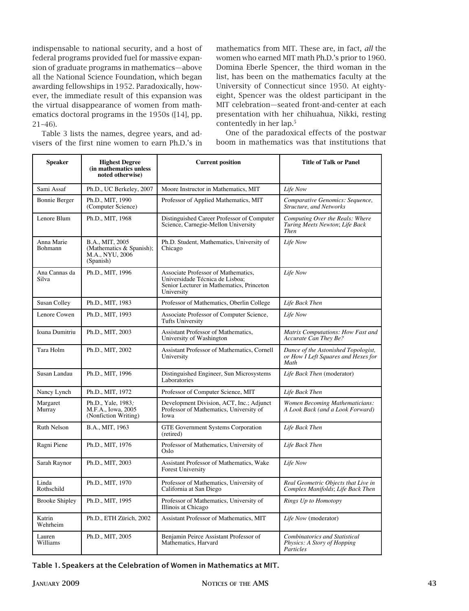indispensable to national security, and a host of federal programs provided fuel for massive expansion of graduate programs in mathematics—above all the National Science Foundation, which began awarding fellowships in 1952. Paradoxically, however, the immediate result of this expansion was the virtual disappearance of women from mathematics doctoral programs in the 1950s ([14], pp. 21–46).

Table 3 lists the names, degree years, and ad-**One** of the paradoxical effects of the visers of the first nine women to earn Ph.D.'s in

mathematics from MIT. These are, in fact, *all* the women who earned MIT math Ph.D.'s prior to 1960. Domina Eberle Spencer, the third woman in the list, has been on the mathematics faculty at the University of Connecticut since 1950. At eightyeight, Spencer was the oldest participant in the MIT celebration—seated front-and-center at each presentation with her chihuahua, Nikki, resting contentedly in her lap.5

One of the paradoxical effects of the postwar boom in mathematics was that institutions that

| <b>Speaker</b>               | <b>Highest Degree</b><br>(in mathematics unless<br>noted otherwise)         | <b>Current position</b>                                                                                                           | <b>Title of Talk or Panel</b>                                                      |
|------------------------------|-----------------------------------------------------------------------------|-----------------------------------------------------------------------------------------------------------------------------------|------------------------------------------------------------------------------------|
| Sami Assaf                   | Ph.D., UC Berkeley, 2007                                                    | Moore Instructor in Mathematics, MIT                                                                                              | Life Now                                                                           |
| <b>Bonnie Berger</b>         | Ph.D., MIT, 1990<br>(Computer Science)                                      | Professor of Applied Mathematics, MIT                                                                                             | Comparative Genomics: Sequence,<br><b>Structure, and Networks</b>                  |
| Lenore Blum                  | Ph.D., MIT, 1968                                                            | Distinguished Career Professor of Computer<br>Science, Carnegie-Mellon University                                                 | Computing Over the Reals: Where<br>Turing Meets Newton; Life Back<br><b>Then</b>   |
| Anna Marie<br><b>Bohmann</b> | B.A., MIT, 2005<br>(Mathematics & Spanish);<br>M.A., NYU, 2006<br>(Spanish) | Ph.D. Student, Mathematics, University of<br>Chicago                                                                              | Life Now                                                                           |
| Ana Cannas da<br>Silva       | Ph.D., MIT, 1996                                                            | Associate Professor of Mathematics,<br>Universidade Técnica de Lisboa;<br>Senior Lecturer in Mathematics, Princeton<br>University | Life Now                                                                           |
| Susan Colley                 | Ph.D., MIT, 1983                                                            | Professor of Mathematics, Oberlin College                                                                                         | Life Back Then                                                                     |
| Lenore Cowen                 | Ph.D., MIT, 1993                                                            | Associate Professor of Computer Science,<br><b>Tufts University</b>                                                               | Life Now                                                                           |
| Ioana Dumitriu               | Ph.D., MIT, 2003                                                            | Assistant Professor of Mathematics,<br>University of Washington                                                                   | Matrix Computations: How Fast and<br>Accurate Can They Be?                         |
| Tara Holm                    | Ph.D., MIT, 2002                                                            | Assistant Professor of Mathematics, Cornell<br>University                                                                         | Dance of the Astonished Topologist,<br>or How I Left Squares and Hexes for<br>Math |
| Susan Landau                 | Ph.D., MIT, 1996                                                            | Distinguished Engineer, Sun Microsystems<br>Laboratories                                                                          | Life Back Then (moderator)                                                         |
| Nancy Lynch                  | Ph.D., MIT, 1972                                                            | Professor of Computer Science, MIT                                                                                                | Life Back Then                                                                     |
| Margaret<br>Murray           | Ph.D., Yale, 1983;<br>M.F.A., Iowa, 2005<br>(Nonfiction Writing)            | Development Division, ACT, Inc.; Adjunct<br>Professor of Mathematics, University of<br>Iowa                                       | Women Becoming Mathematicians:<br>A Look Back (and a Look Forward)                 |
| <b>Ruth Nelson</b>           | B.A., MIT, 1963                                                             | <b>GTE Government Systems Corporation</b><br>(retired)                                                                            | Life Back Then                                                                     |
| Ragni Piene                  | Ph.D., MIT, 1976                                                            | Professor of Mathematics, University of<br>Oslo                                                                                   | Life Back Then                                                                     |
| Sarah Raynor                 | Ph.D., MIT, 2003                                                            | Assistant Professor of Mathematics, Wake<br><b>Forest University</b>                                                              | Life Now                                                                           |
| Linda<br>Rothschild          | Ph.D., MIT, 1970                                                            | Professor of Mathematics, University of<br>California at San Diego                                                                | Real Geometric Objects that Live in<br>Complex Manifolds; Life Back Then           |
| <b>Brooke Shipley</b>        | Ph.D., MIT, 1995                                                            | Professor of Mathematics, University of<br>Illinois at Chicago                                                                    | Rings Up to Homotopy                                                               |
| Katrin<br>Wehrheim           | Ph.D., ETH Zürich, 2002                                                     | Assistant Professor of Mathematics, MIT                                                                                           | Life Now (moderator)                                                               |
| Lauren<br>Williams           | Ph.D., MIT, 2005                                                            | Benjamin Peirce Assistant Professor of<br>Mathematics, Harvard                                                                    | <b>Combinatorics and Statistical</b><br>Physics: A Story of Hopping<br>Particles   |

Table 1. Speakers at the Celebration of Women in Mathematics at MIT.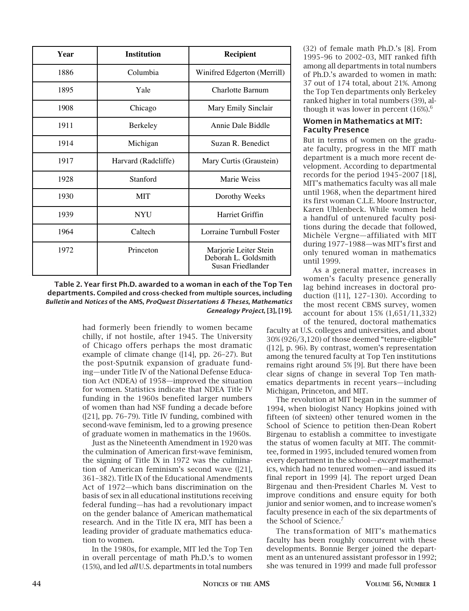| Year | <b>Institution</b>  | Recipient                                                          |
|------|---------------------|--------------------------------------------------------------------|
| 1886 | Columbia            | Winifred Edgerton (Merrill)                                        |
| 1895 | Yale                | Charlotte Barnum                                                   |
| 1908 | Chicago             | Mary Emily Sinclair                                                |
| 1911 | Berkeley            | Annie Dale Biddle                                                  |
| 1914 | Michigan            | Suzan R. Benedict                                                  |
| 1917 | Harvard (Radcliffe) | Mary Curtis (Graustein)                                            |
| 1928 | Stanford            | Marie Weiss                                                        |
| 1930 | <b>MIT</b>          | Dorothy Weeks                                                      |
| 1939 | <b>NYU</b>          | Harriet Griffin                                                    |
| 1964 | Caltech             | Lorraine Turnbull Foster                                           |
| 1972 | Princeton           | Marjorie Leiter Stein<br>Deborah L. Goldsmith<br>Susan Friedlander |

Compiled and cross-checked from multiple sources, including *Bulletin* and *Notices of the American Mathematical Society, ProQuest Dissertations & Theses, Mathematics Genealogy Project,* Table 2. Year first Ph.D. awarded to a woman in each of the Top Ten *California Institute of Technology (1964), Riddle (2006)* departments. Compiled and cross-checked from multiple sources, including *Bulletin* and *Notices* of the AMS, *ProQuest Dissertations & Theses*, *Mathematics Genealogy Project*, [3], [19].

> had formerly been friendly to women became chilly, if not hostile, after 1945. The University of Chicago offers perhaps the most dramatic example of climate change ([14], pp. 26–27). But the post-Sputnik expansion of graduate funding—under Title IV of the National Defense Education Act (NDEA) of 1958—improved the situation for women. Statistics indicate that NDEA Title IV funding in the 1960s benefited larger numbers of women than had NSF funding a decade before ([21], pp. 76–79). Title IV funding, combined with second-wave feminism, led to a growing presence of graduate women in mathematics in the 1960s.

> Just as the Nineteenth Amendment in 1920 was the culmination of American first-wave feminism, the signing of Title IX in 1972 was the culmination of American feminism's second wave ([21], 361–382). Title IX of the Educational Amendments Act of 1972—which bans discrimination on the basis of sex in all educational institutions receiving federal funding—has had a revolutionary impact on the gender balance of American mathematical research. And in the Title IX era, MIT has been a leading provider of graduate mathematics education to women.

> In the 1980s, for example, MIT led the Top Ten in overall percentage of math Ph.D.'s to women (15%), and led *all* U.S. departments in total numbers

(32) of female math Ph.D.'s [8]. From 1995–96 to 2002–03, MIT ranked fifth among all departments in total numbers of Ph.D.'s awarded to women in math: 37 out of 174 total, about 21%. Among the Top Ten departments only Berkeley ranked higher in total numbers (39), although it was lower in percent  $(16%)$ <sup>6</sup>

#### Women in Mathematics at MIT: Faculty Presence

But in terms of women on the graduate faculty, progress in the MIT math department is a much more recent development. According to departmental records for the period 1945–2007 [18], MIT's mathematics faculty was all male until 1968, when the department hired its first woman C.L.E. Moore Instructor, Karen Uhlenbeck. While women held a handful of untenured faculty positions during the decade that followed, Michèle Vergne—affiliated with MIT during 1977–1988—was MIT's first and only tenured woman in mathematics until 1999.

As a general matter, increases in women's faculty presence generally lag behind increases in doctoral production ([11], 127–130). According to the most recent CBMS survey, women account for about 15% (1,651/11,332) of the tenured, doctoral mathematics

faculty at U.S. colleges and universities, and about 30% (926/3,120) of those deemed "tenure-eligible" ([12], p. 96). By contrast, women's representation among the tenured faculty at Top Ten institutions remains right around 5% [9]. But there have been clear signs of change in several Top Ten mathematics departments in recent years—including Michigan, Princeton, and MIT.

The revolution at MIT began in the summer of 1994, when biologist Nancy Hopkins joined with fifteen (of sixteen) other tenured women in the School of Science to petition then-Dean Robert Birgenau to establish a committee to investigate the status of women faculty at MIT. The committee, formed in 1995, included tenured women from every department in the school—*except* mathematics, which had no tenured women—and issued its final report in 1999 [4]. The report urged Dean Birgenau and then-President Charles M. Vest to improve conditions and ensure equity for both junior and senior women, and to increase women's faculty presence in each of the six departments of the School of Science.<sup>7</sup>

The transformation of MIT's mathematics faculty has been roughly concurrent with these developments. Bonnie Berger joined the department as an untenured assistant professor in 1992; she was tenured in 1999 and made full professor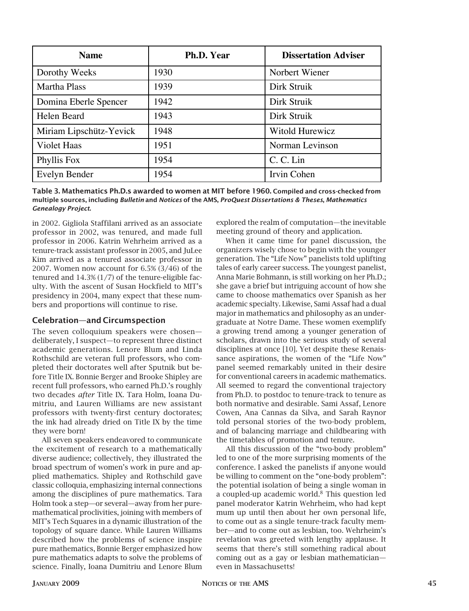| <b>Name</b>             | Ph.D. Year | <b>Dissertation Adviser</b> |
|-------------------------|------------|-----------------------------|
| Dorothy Weeks           | 1930       | Norbert Wiener              |
| <b>Martha Plass</b>     | 1939       | Dirk Struik                 |
| Domina Eberle Spencer   | 1942       | Dirk Struik                 |
| Helen Beard             | 1943       | Dirk Struik                 |
| Miriam Lipschütz-Yevick | 1948       | Witold Hurewicz             |
| <b>Violet Haas</b>      | 1951       | Norman Levinson             |
| Phyllis Fox             | 1954       | C. C. Lin                   |
| Evelyn Bender           | 1954       | Irvin Cohen                 |

Compiled and cross-checked from multiple sources, including *Bulletin* and *Notices of the American*  multiple sources, including *Bulletin* and *Notices* of the AMS, *ProQuest Dissertations & Theses, Mathematics*<br>Genealoay Project Table 3. Mathematics Ph.D.s awarded to women at MIT before 1960. Compiled and cross-checked from *Genealogy Project*.

in 2002. Gigliola Staffilani arrived as an associate professor in 2002, was tenured, and made full professor in 2006. Katrin Wehrheim arrived as a tenure-track assistant professor in 2005, and JuLee Kim arrived as a tenured associate professor in 2007. Women now account for 6.5% (3/46) of the tenured and 14.3% (1/7) of the tenure-eligible faculty. With the ascent of Susan Hockfield to MIT's presidency in 2004, many expect that these numbers and proportions will continue to rise.

#### Celebration—and Circumspection

The seven colloquium speakers were chosen deliberately, I suspect—to represent three distinct academic generations. Lenore Blum and Linda Rothschild are veteran full professors, who completed their doctorates well after Sputnik but before Title IX. Bonnie Berger and Brooke Shipley are recent full professors, who earned Ph.D.'s roughly two decades *after* Title IX. Tara Holm, Ioana Dumitriu, and Lauren Williams are new assistant professors with twenty-first century doctorates; the ink had already dried on Title IX by the time they were born!

All seven speakers endeavored to communicate the excitement of research to a mathematically diverse audience; collectively, they illustrated the broad spectrum of women's work in pure and applied mathematics. Shipley and Rothschild gave classic colloquia, emphasizing internal connections among the disciplines of pure mathematics. Tara Holm took a step—or several—away from her puremathematical proclivities, joining with members of MIT's Tech Squares in a dynamic illustration of the topology of square dance. While Lauren Williams described how the problems of science inspire pure mathematics, Bonnie Berger emphasized how pure mathematics adapts to solve the problems of science. Finally, Ioana Dumitriu and Lenore Blum explored the realm of computation—the inevitable meeting ground of theory and application.

When it came time for panel discussion, the organizers wisely chose to begin with the younger generation. The "Life Now" panelists told uplifting tales of early career success. The youngest panelist, Anna Marie Bohmann, is still working on her Ph.D.; she gave a brief but intriguing account of how she came to choose mathematics over Spanish as her academic specialty. Likewise, Sami Assaf had a dual major in mathematics and philosophy as an undergraduate at Notre Dame. These women exemplify a growing trend among a younger generation of scholars, drawn into the serious study of several disciplines at once [10]. Yet despite these Renaissance aspirations, the women of the "Life Now" panel seemed remarkably united in their desire for conventional careers in academic mathematics. All seemed to regard the conventional trajectory from Ph.D. to postdoc to tenure-track to tenure as both normative and desirable. Sami Assaf, Lenore Cowen, Ana Cannas da Silva, and Sarah Raynor told personal stories of the two-body problem, and of balancing marriage and childbearing with the timetables of promotion and tenure.

All this discussion of the "two-body problem" led to one of the more surprising moments of the conference. I asked the panelists if anyone would be willing to comment on the "one-body problem": the potential isolation of being a single woman in a coupled-up academic world.8 This question led panel moderator Katrin Wehrheim, who had kept mum up until then about her own personal life, to come out as a single tenure-track faculty member—and to come out as lesbian, too. Wehrheim's revelation was greeted with lengthy applause. It seems that there's still something radical about coming out as a gay or lesbian mathematician even in Massachusetts!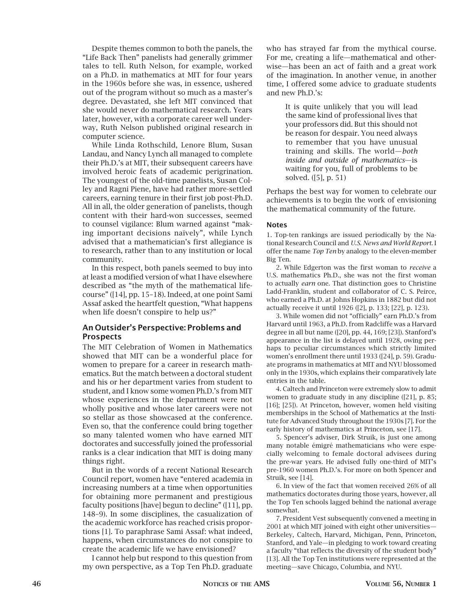Despite themes common to both the panels, the "Life Back Then" panelists had generally grimmer tales to tell. Ruth Nelson, for example, worked on a Ph.D. in mathematics at MIT for four years in the 1960s before she was, in essence, ushered out of the program without so much as a master's degree. Devastated, she left MIT convinced that she would never do mathematical research. Years later, however, with a corporate career well underway, Ruth Nelson published original research in computer science.

While Linda Rothschild, Lenore Blum, Susan Landau, and Nancy Lynch all managed to complete their Ph.D.'s at MIT, their subsequent careers have involved heroic feats of academic perigrination. The youngest of the old-time panelists, Susan Colley and Ragni Piene, have had rather more-settled careers, earning tenure in their first job post-Ph.D. All in all, the older generation of panelists, though content with their hard-won successes, seemed to counsel vigilance: Blum warned against "making important decisions naïvely", while Lynch advised that a mathematician's first allegiance is to research, rather than to any institution or local community.

In this respect, both panels seemed to buy into at least a modified version of what I have elsewhere described as "the myth of the mathematical lifecourse" ([14], pp. 15–18). Indeed, at one point Sami Assaf asked the heartfelt question, "What happens when life doesn't conspire to help us?"

#### An Outsider's Perspective: Problems and Prospects

The MIT Celebration of Women in Mathematics showed that MIT can be a wonderful place for women to prepare for a career in research mathematics. But the match between a doctoral student and his or her department varies from student to student, and I know some women Ph.D.'s from MIT whose experiences in the department were not wholly positive and whose later careers were not so stellar as those showcased at the conference. Even so, that the conference could bring together so many talented women who have earned MIT doctorates and successfully joined the professorial ranks is a clear indication that MIT is doing many things right.

But in the words of a recent National Research Council report, women have "entered academia in increasing numbers at a time when opportunities for obtaining more permanent and prestigious faculty positions [have] begun to decline" ([11], pp. 148–9). In some disciplines, the casualization of the academic workforce has reached crisis proportions [1]. To paraphrase Sami Assaf: what indeed, happens, when circumstances do not conspire to create the academic life we have envisioned?

I cannot help but respond to this question from my own perspective, as a Top Ten Ph.D. graduate

who has strayed far from the mythical course. For me, creating a life—mathematical and otherwise—has been an act of faith and a great work of the imagination. In another venue, in another time, I offered some advice to graduate students and new Ph.D.'s:

> It is quite unlikely that you will lead the same kind of professional lives that your professors did. But this should not be reason for despair. You need always to remember that you have unusual training and skills. The world—*both inside and outside of mathematics*—is waiting for you, full of problems to be solved. ([5], p. 51)

Perhaps the best way for women to celebrate our achievements is to begin the work of envisioning the mathematical community of the future.

#### Notes

1. Top-ten rankings are issued periodically by the National Research Council and *U.S. News and World Report*. I offer the name *Top Ten* by analogy to the eleven-member Big Ten.

2. While Edgerton was the first woman to *receive* a U.S. mathematics Ph.D., she was not the first woman to actually *earn* one. That distinction goes to Christine Ladd-Franklin, student and collaborator of C. S. Peirce, who earned a Ph.D. at Johns Hopkins in 1882 but did not actually receive it until 1926 ([2], p. 133; [22], p. 123).

3. While women did not "officially" earn Ph.D.'s from Harvard until 1963, a Ph.D. from Radcliffe was a Harvard degree in all but name ([20], pp. 44, 169; [23]). Stanford's appearance in the list is delayed until 1928, owing perhaps to peculiar circumstances which strictly limited women's enrollment there until 1933 ([24], p. 59). Graduate programs in mathematics at MIT and NYU blossomed only in the 1930s, which explains their comparatively late entries in the table.

4. Caltech and Princeton were extremely slow to admit women to graduate study in any discipline ([21], p. 85; [16]; [25]). At Princeton, however, women held visiting memberships in the School of Mathematics at the Institute for Advanced Study throughout the 1930s [7]. For the early history of mathematics at Princeton, see [17].

5. Spencer's adviser, Dirk Struik, is just one among many notable émigré mathematicians who were especially welcoming to female doctoral advisees during the pre-war years. He advised fully one-third of MIT's pre-1960 women Ph.D.'s. For more on both Spencer and Struik, see [14].

6. In view of the fact that women received 26% of all mathematics doctorates during those years, however, all the Top Ten schools lagged behind the national average somewhat.

7. President Vest subsequently convened a meeting in 2001 at which MIT joined with eight other universities— Berkeley, Caltech, Harvard, Michigan, Penn, Princeton, Stanford, and Yale—in pledging to work toward creating a faculty "that reflects the diversity of the student body" [13]. All the Top Ten institutions were represented at the meeting—save Chicago, Columbia, and NYU.